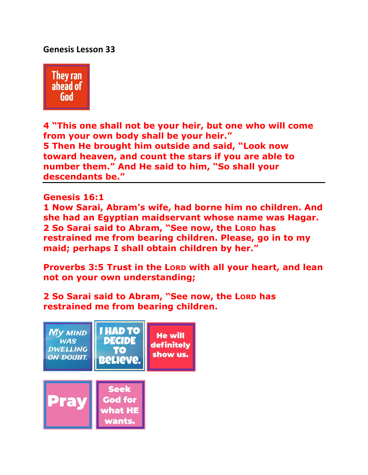# **Genesis Lesson 33**



**4 "This one shall not be your heir, but one who will come from your own body shall be your heir." 5 Then He brought him outside and said, "Look now toward heaven, and count the stars if you are able to number them." And He said to him, "So shall your descendants be."** 

**Genesis 16:1** 

**1 Now Sarai, Abram's wife, had borne him no children. And she had an Egyptian maidservant whose name was Hagar. 2 So Sarai said to Abram, "See now, the LORD has restrained me from bearing children. Please, go in to my maid; perhaps I shall obtain children by her."** 

**Proverbs 3:5 Trust in the LORD with all your heart, and lean not on your own understanding;**

**2 So Sarai said to Abram, "See now, the LORD has restrained me from bearing children.**

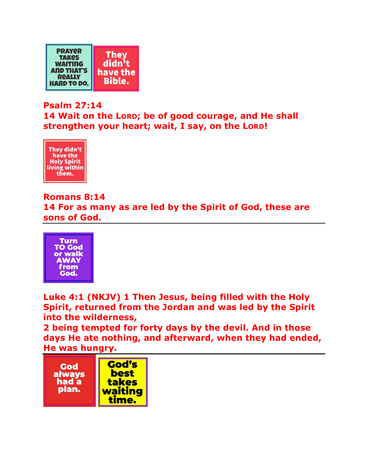

### **Psalm 27:14**

**14 Wait on the LORD; be of good courage, and He shall strengthen your heart; wait, I say, on the LORD!** 



## **Romans 8:14**

**14 For as many as are led by the Spirit of God, these are sons of God.** 



**Luke 4:1 (NKJV) 1 Then Jesus, being filled with the Holy Spirit, returned from the Jordan and was led by the Spirit into the wilderness,** 

**2 being tempted for forty days by the devil. And in those days He ate nothing, and afterward, when they had ended, He was hungry.** 

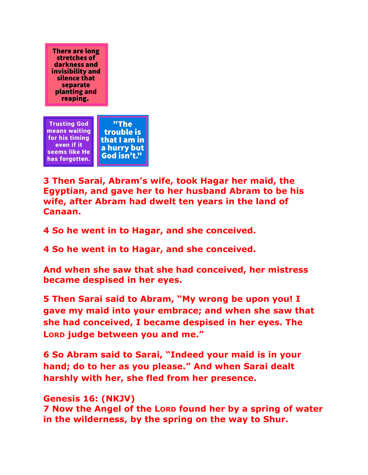**There are long** stretches of darkness and invisibility and silence that separate planting and reaping.



**3 Then Sarai, Abram's wife, took Hagar her maid, the Egyptian, and gave her to her husband Abram to be his wife, after Abram had dwelt ten years in the land of Canaan.** 

**4 So he went in to Hagar, and she conceived.** 

**4 So he went in to Hagar, and she conceived.** 

**And when she saw that she had conceived, her mistress became despised in her eyes.** 

**5 Then Sarai said to Abram, "My wrong be upon you! I gave my maid into your embrace; and when she saw that she had conceived, I became despised in her eyes. The LORD judge between you and me."** 

**6 So Abram said to Sarai, "Indeed your maid is in your hand; do to her as you please." And when Sarai dealt harshly with her, she fled from her presence.** 

# **Genesis 16: (NKJV)**

**7 Now the Angel of the LORD found her by a spring of water in the wilderness, by the spring on the way to Shur.**